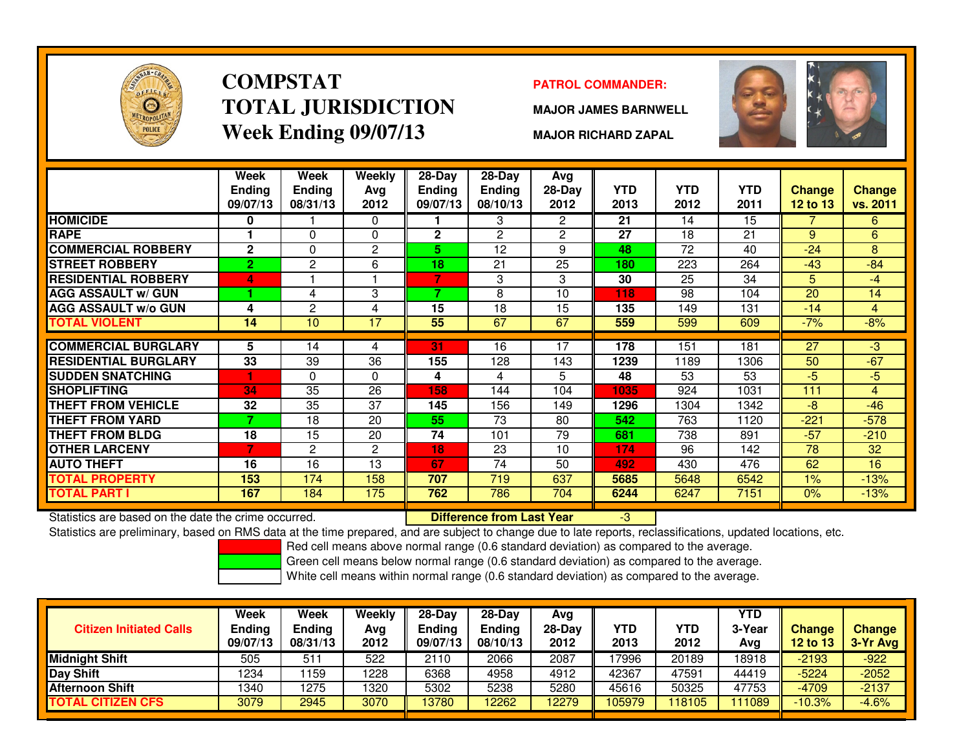

### **COMPSTATTOTAL JURISDICTIONWeek Ending 09/07/13**

### **PATROL COMMANDER:**

**MAJOR JAMES BARNWELL**



**MAJOR RICHARD ZAPAL**

|                                                      | Week<br><b>Ending</b><br>09/07/13 | Week<br><b>Ending</b><br>08/31/13 | Weekly<br>Ava<br>2012 | 28-Day<br><b>Ending</b><br>09/07/13 | 28-Day<br><b>Ending</b><br>08/10/13 | Avg<br>28-Day<br>2012 | <b>YTD</b><br>2013 | <b>YTD</b><br>2012 | <b>YTD</b><br>2011 | Change<br>12 to 13 | <b>Change</b><br>vs. 2011 |
|------------------------------------------------------|-----------------------------------|-----------------------------------|-----------------------|-------------------------------------|-------------------------------------|-----------------------|--------------------|--------------------|--------------------|--------------------|---------------------------|
| <b>HOMICIDE</b>                                      | 0                                 |                                   | $\Omega$              |                                     | 3                                   | $\mathbf{2}^{\circ}$  | 21                 | 14                 | 15                 |                    | $6^{\circ}$               |
| <b>RAPE</b>                                          |                                   | 0                                 | $\Omega$              | $\mathbf{2}$                        | $\overline{c}$                      | $\overline{2}$        | 27                 | 18                 | 21                 | 9                  | 6                         |
| <b>COMMERCIAL ROBBERY</b>                            | $\mathbf{2}$                      | 0                                 | $\overline{2}$        | 5.                                  | 12                                  | 9                     | 48                 | 72                 | 40                 | $-24$              | 8                         |
| <b>STREET ROBBERY</b>                                | $\overline{2}$                    | $\mathbf{2}$                      | 6                     | 18                                  | 21                                  | 25                    | 180                | 223                | 264                | $-43$              | $-84$                     |
| <b>RESIDENTIAL ROBBERY</b>                           | 4                                 |                                   |                       | 7                                   | 3                                   | 3                     | 30                 | 25                 | 34                 | 5                  | $-4$                      |
| <b>AGG ASSAULT w/ GUN</b>                            |                                   | 4                                 | 3                     | 7                                   | 8                                   | 10                    | 118                | 98                 | 104                | 20                 | 14                        |
| <b>AGG ASSAULT w/o GUN</b>                           | 4                                 | $\overline{2}$                    | 4                     | 15                                  | 18                                  | 15                    | 135                | 149                | 131                | $-14$              | $\overline{4}$            |
| <b>TOTAL VIOLENT</b>                                 | 14                                | 10 <sup>°</sup>                   | 17                    | 55                                  | 67                                  | 67                    | 559                | 599                | 609                | $-7%$              | $-8%$                     |
|                                                      |                                   |                                   |                       |                                     |                                     |                       |                    |                    |                    |                    |                           |
| <b>COMMERCIAL BURGLARY</b>                           | 5                                 | 14                                | 4                     | 31                                  | 16                                  | 17                    | 178                | 151                | 181                | $\overline{27}$    | $-3$                      |
| <b>RESIDENTIAL BURGLARY</b>                          | 33                                | 39                                | 36                    | 155                                 | 128                                 | 143                   | 1239               | 1189               | 1306               | 50                 | $-67$                     |
| <b>SUDDEN SNATCHING</b>                              | и                                 | 0                                 | $\mathbf{0}$          | 4                                   | 4                                   | 5                     | 48                 | 53                 | 53                 | $-5$               | $-5$                      |
| <b>SHOPLIFTING</b>                                   | 34                                | 35                                | 26                    | 158                                 | 144                                 | 104                   | 1035               | 924                | 1031               | 111                | $\overline{4}$            |
| <b>THEFT FROM VEHICLE</b>                            | 32                                | 35                                | 37                    | 145                                 | 156                                 | 149                   | 1296               | 1304               | 1342               | $-8$               | $-46$                     |
| <b>THEFT FROM YARD</b>                               | ⇁                                 | 18                                | 20                    | 55                                  | 73                                  | 80                    | 542                | 763                | 1120               | $-221$             | $-578$                    |
| <b>THEFT FROM BLDG</b>                               | 18                                | 15                                | 20                    | 74                                  | 101                                 | 79                    | 681                | 738                | 891                | $-57$              | $-210$                    |
| <b>OTHER LARCENY</b>                                 | 7                                 | 2                                 | $\mathbf{2}$          | 18                                  | 23                                  | 10                    | 174                | 96                 | 142                | 78                 | 32                        |
| <b>AUTO THEFT</b>                                    | 16                                | 16                                | 13                    | 67                                  | 74                                  | 50                    | 492                | 430                | 476                | 62                 | 16                        |
| <b>TOTAL PROPERTY</b>                                | 153                               | 174                               | 158                   | 707                                 | 719                                 | 637                   | 5685               | 5648               | 6542               | 1%                 | $-13%$                    |
| <b>TOTAL PART I</b>                                  | 167                               | 184                               | 175                   | 762                                 | 786                                 | 704                   | 6244               | 6247               | 7151               | 0%                 | $-13%$                    |
| Statistics are based on the date the crime occurred. |                                   |                                   |                       |                                     | <b>Difference from Last Year</b>    |                       | $-3$               |                    |                    |                    |                           |

Statistics are based on the date the crime occurred. **Difference from Last Year** 

Statistics are preliminary, based on RMS data at the time prepared, and are subject to change due to late reports, reclassifications, updated locations, etc.

Red cell means above normal range (0.6 standard deviation) as compared to the average.

Green cell means below normal range (0.6 standard deviation) as compared to the average.

| <b>Citizen Initiated Calls</b> | Week<br>Ending<br>09/07/13 | Week<br><b>Ending</b><br>08/31/13 | Weekly<br>Avg<br>2012 | 28-Dav<br>Ending<br>09/07/13 | $28-Day$<br><b>Ending</b><br>08/10/13 | Avg<br>28-Dav<br>2012 | YTD<br>2013 | YTD<br>2012 | YTD<br>3-Year<br>Avg | <b>Change</b><br><b>12 to 13</b> | <b>Change</b><br>3-Yr Avg |
|--------------------------------|----------------------------|-----------------------------------|-----------------------|------------------------------|---------------------------------------|-----------------------|-------------|-------------|----------------------|----------------------------------|---------------------------|
| <b>Midnight Shift</b>          | 505                        | $51^{\circ}$                      | 522                   | 2110                         | 2066                                  | 2087                  | 17996       | 20189       | 8918                 | $-2193$                          | $-922$                    |
| Day Shift                      | 1234                       | 159                               | 1228                  | 6368                         | 4958                                  | 4912                  | 42367       | 47591       | 44419                | $-5224$                          | $-2052$                   |
| <b>Afternoon Shift</b>         | 1340                       | 1275                              | 1320                  | 5302                         | 5238                                  | 5280                  | 45616       | 50325       | 47753                | $-4709$                          | $-2137$                   |
| <b>TOTAL CITIZEN CFS</b>       | 3079                       | 2945                              | 3070                  | 13780                        | 12262                                 | 2279                  | 105979      | 118105      | 111089               | $-10.3%$                         | $-4.6%$                   |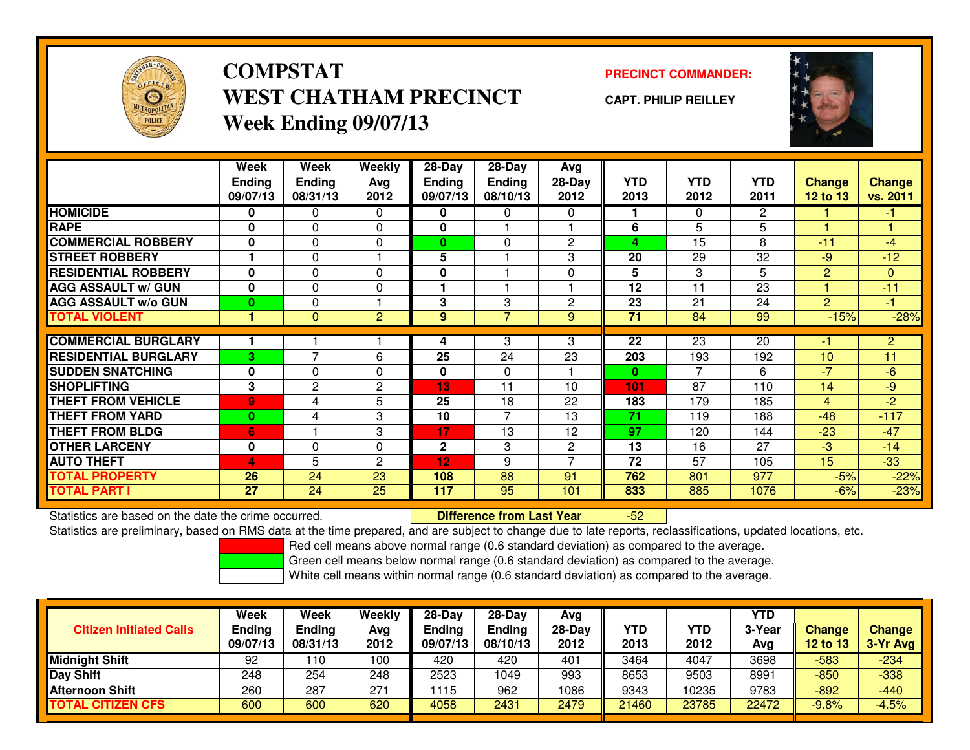

## **COMPSTATWEST CHATHAM PRECINCTWeek Ending 09/07/13**

### **PRECINCT COMMANDER:**

**CAPT. PHILIP REILLEY**



|                             | Week<br><b>Ending</b><br>09/07/13 | Week<br><b>Ending</b><br>08/31/13 | Weekly<br>Avg<br>2012 | 28-Day<br><b>Ending</b><br>09/07/13 | $28$ -Day<br><b>Ending</b><br>08/10/13 | Avg<br>28-Day<br>2012    | <b>YTD</b><br>2013 | <b>YTD</b><br>2012 | <b>YTD</b><br>2011 | <b>Change</b><br><b>12 to 13</b> | <b>Change</b><br>vs. 2011 |
|-----------------------------|-----------------------------------|-----------------------------------|-----------------------|-------------------------------------|----------------------------------------|--------------------------|--------------------|--------------------|--------------------|----------------------------------|---------------------------|
| <b>HOMICIDE</b>             | 0                                 | 0                                 | 0                     | 0                                   | 0                                      | $\Omega$                 |                    | $\Omega$           | $\overline{2}$     |                                  | $\blacksquare$            |
| <b>RAPE</b>                 | $\mathbf{0}$                      | 0                                 | 0                     | $\mathbf{0}$                        |                                        |                          | 6                  | 5                  | 5                  |                                  |                           |
| <b>COMMERCIAL ROBBERY</b>   | $\mathbf{0}$                      | $\Omega$                          | 0                     | $\bf{0}$                            | $\mathbf{0}$                           | $\overline{2}$           | 4                  | 15                 | 8                  | $-11$                            | $-4$                      |
| <b>STREET ROBBERY</b>       |                                   | 0                                 |                       | 5                                   |                                        | 3                        | 20                 | 29                 | 32                 | $-9$                             | $-12$                     |
| <b>RESIDENTIAL ROBBERY</b>  | $\bf{0}$                          | $\Omega$                          | 0                     | $\mathbf{0}$                        |                                        | $\Omega$                 | 5                  | 3                  | 5                  | 2                                | $\mathbf{0}$              |
| <b>AGG ASSAULT w/ GUN</b>   | $\bf{0}$                          | $\Omega$                          | 0                     |                                     |                                        |                          | 12                 | 11                 | 23                 |                                  | $-11$                     |
| <b>AGG ASSAULT w/o GUN</b>  | $\bf{0}$                          | 0                                 |                       | 3                                   | 3                                      | 2                        | 23                 | 21                 | 24                 | $\overline{2}$                   | $-1$                      |
| <b>TOTAL VIOLENT</b>        |                                   | $\mathbf{0}$                      | $\overline{2}$        | 9                                   | 7                                      | 9                        | 71                 | 84                 | 99                 | $-15%$                           | $-28%$                    |
|                             |                                   |                                   |                       |                                     |                                        |                          |                    |                    |                    |                                  |                           |
| <b>COMMERCIAL BURGLARY</b>  |                                   |                                   |                       | 4                                   | 3                                      | 3                        | 22                 | 23                 | 20                 | -1                               | $\overline{2}$            |
| <b>RESIDENTIAL BURGLARY</b> | 3                                 | $\overline{ }$                    | 6                     | $\overline{25}$                     | 24                                     | 23                       | 203                | 193                | 192                | 10                               | 11                        |
| <b>ISUDDEN SNATCHING</b>    | $\bf{0}$                          | 0                                 | 0                     | 0                                   | $\Omega$                               |                          | $\bf{0}$           | $\overline{7}$     | 6                  | $-7$                             | $-6$                      |
| <b>SHOPLIFTING</b>          | 3                                 | $\mathbf{2}$                      | $\mathbf{2}$          | 13                                  | 11                                     | 10                       | 101                | 87                 | 110                | 14                               | -9                        |
| <b>THEFT FROM VEHICLE</b>   | $\overline{9}$                    | 4                                 | 5                     | 25                                  | 18                                     | 22                       | 183                | 179                | 185                | 4                                | $-2$                      |
| <b>THEFT FROM YARD</b>      | $\bf{0}$                          | 4                                 | 3                     | 10                                  | $\overline{7}$                         | 13                       | 71                 | 119                | 188                | $-48$                            | $-117$                    |
| <b>THEFT FROM BLDG</b>      | 6                                 |                                   | 3                     | 17                                  | 13                                     | 12                       | 97                 | 120                | 144                | $-23$                            | $-47$                     |
| <b>OTHER LARCENY</b>        | $\mathbf{0}$                      | 0                                 | 0                     | $\mathbf 2$                         | 3                                      | $\mathbf{2}$             | 13                 | 16                 | 27                 | $-3$                             | $-14$                     |
| <b>AUTO THEFT</b>           | 4                                 | 5                                 | $\mathbf{2}$          | 12                                  | 9                                      | $\overline{\phantom{0}}$ | 72                 | 57                 | 105                | 15                               | $-33$                     |
| <b>TOTAL PROPERTY</b>       | 26                                | 24                                | 23                    | 108                                 | 88                                     | 91                       | 762                | 801                | 977                | $-5%$                            | $-22%$                    |
| <b>TOTAL PART I</b>         | 27                                | 24                                | 25                    | 117                                 | 95                                     | 101                      | 833                | 885                | 1076               | $-6%$                            | $-23%$                    |

Statistics are based on the date the crime occurred. **Difference from Last Year** 

Statistics are based on the date the crime occurred.<br>Statistics are preliminary, based on RMS data at the time prepared, and are subject to change due to late reports, reclassifications, updated locations, etc.

Red cell means above normal range (0.6 standard deviation) as compared to the average.

Green cell means below normal range (0.6 standard deviation) as compared to the average.

| <b>Citizen Initiated Calls</b> | Week<br><b>Ending</b><br>09/07/13 | Week<br><b>Ending</b><br>08/31/13 | Weekly<br>Avg<br>2012 | $28-Dav$<br><b>Ending</b><br>09/07/13 | $28-Dav$<br><b>Ending</b><br>08/10/13 | Avg<br>28-Day<br>2012 | YTD<br>2013 | YTD<br>2012 | <b>YTD</b><br>3-Year<br>Avg | <b>Change</b><br><b>12 to 13</b> | <b>Change</b><br>3-Yr Avg |
|--------------------------------|-----------------------------------|-----------------------------------|-----------------------|---------------------------------------|---------------------------------------|-----------------------|-------------|-------------|-----------------------------|----------------------------------|---------------------------|
| <b>Midnight Shift</b>          | 92                                | 10                                | 100                   | 420                                   | 420                                   | 401                   | 3464        | 4047        | 3698                        | $-583$                           | $-234$                    |
| Day Shift                      | 248                               | 254                               | 248                   | 2523                                  | 1049                                  | 993                   | 8653        | 9503        | 8991                        | $-850$                           | $-338$                    |
| <b>Afternoon Shift</b>         | 260                               | 287                               | 271                   | 115                                   | 962                                   | 1086                  | 9343        | 10235       | 9783                        | $-892$                           | $-440$                    |
| <b>TOTAL CITIZEN CFS</b>       | 600                               | 600                               | 620                   | 4058                                  | 2431                                  | 2479                  | 21460       | 23785       | 22472                       | $-9.8%$                          | $-4.5%$                   |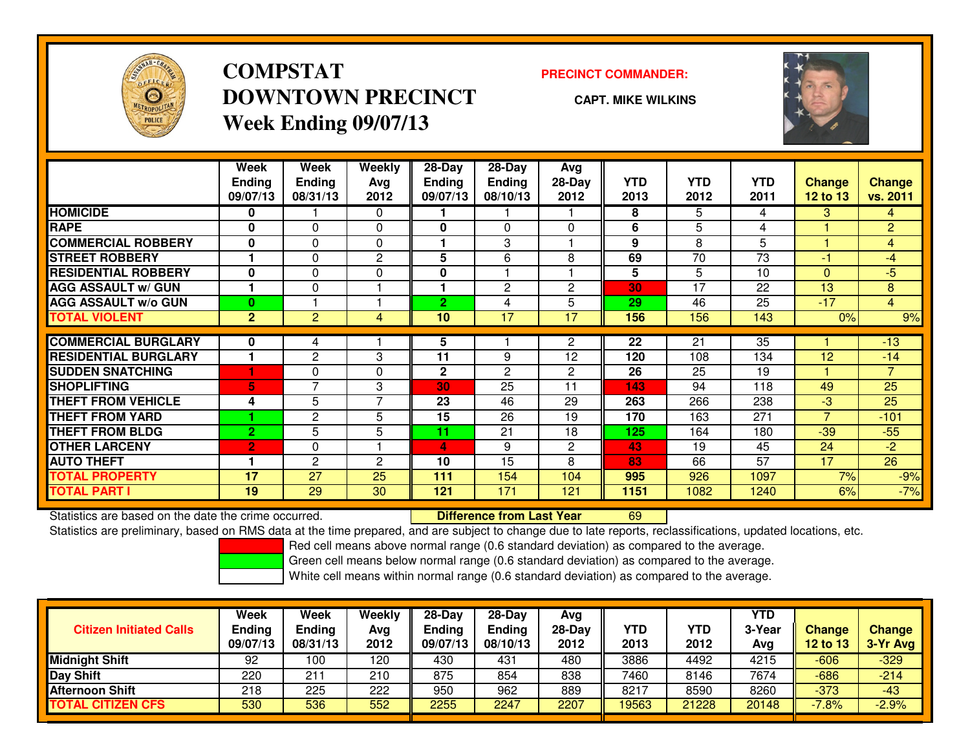

## **COMPSTATDOWNTOWN PRECINCTWeek Ending 09/07/13**

#### **PRECINCT COMMANDER:**

**CAPT. MIKE WILKINS**



|                             | Week           | Week            | Weekly         | $28 - Day$    | $28 - Day$     | Avg            |            |            |            |                 |                |
|-----------------------------|----------------|-----------------|----------------|---------------|----------------|----------------|------------|------------|------------|-----------------|----------------|
|                             | <b>Ending</b>  | <b>Ending</b>   | Avg            | <b>Ending</b> | <b>Ending</b>  | 28-Day         | <b>YTD</b> | <b>YTD</b> | <b>YTD</b> | <b>Change</b>   | <b>Change</b>  |
|                             | 09/07/13       | 08/31/13        | 2012           | 09/07/13      | 08/10/13       | 2012           | 2013       | 2012       | 2011       | <b>12 to 13</b> | vs. 2011       |
| <b>HOMICIDE</b>             | 0              |                 | 0              |               |                |                | 8          | 5          | 4          | 3               | $\overline{4}$ |
| <b>RAPE</b>                 | $\bf{0}$       | $\Omega$        | 0              | 0             | $\Omega$       | $\Omega$       | 6          | 5          | 4          |                 | $\overline{2}$ |
| <b>COMMERCIAL ROBBERY</b>   | $\bf{0}$       | $\Omega$        | 0              |               | 3              |                | 9          | 8          | 5          |                 | $\overline{4}$ |
| <b>STREET ROBBERY</b>       |                | 0               | $\overline{c}$ | 5             | 6              | 8              | 69         | 70         | 73         | -1              | -4             |
| <b>RESIDENTIAL ROBBERY</b>  | $\bf{0}$       | $\Omega$        | $\Omega$       | $\mathbf{0}$  |                |                | 5          | 5          | 10         | $\Omega$        | $-5$           |
| <b>AGG ASSAULT w/ GUN</b>   |                | $\Omega$        |                |               | $\mathbf{2}$   | $\overline{2}$ | 30         | 17         | 22         | 13              | 8              |
| <b>AGG ASSAULT w/o GUN</b>  | $\bf{0}$       |                 |                | 2.            | 4              | 5              | 29         | 46         | 25         | $-17$           | $\overline{4}$ |
| <b>TOTAL VIOLENT</b>        | $\overline{2}$ | 2               | 4              | 10            | 17             | 17             | 156        | 156        | 143        | 0%              | 9%             |
|                             |                |                 |                |               |                |                |            |            |            |                 |                |
| <b>COMMERCIAL BURGLARY</b>  | 0              | 4               |                | 5             |                | $\overline{2}$ | 22         | 21         | 35         |                 | $-13$          |
| <b>RESIDENTIAL BURGLARY</b> |                | 2               | 3              | 11            | 9              | 12             | 120        | 108        | 134        | 12              | $-14$          |
| <b>SUDDEN SNATCHING</b>     |                | 0               | 0              | $\mathbf{2}$  | $\overline{2}$ | $\overline{2}$ | 26         | 25         | 19         |                 | $\overline{7}$ |
| <b>SHOPLIFTING</b>          | 5              | $\overline{ }$  | 3              | 30            | 25             | 11             | 143        | 94         | 118        | 49              | 25             |
| <b>THEFT FROM VEHICLE</b>   | 4              | 5               | $\overline{7}$ | 23            | 46             | 29             | 263        | 266        | 238        | $-3$            | 25             |
| <b>THEFT FROM YARD</b>      |                | $\mathbf{2}$    | 5              | 15            | 26             | 19             | 170        | 163        | 271        | $\overline{7}$  | $-101$         |
| <b>THEFT FROM BLDG</b>      | $\overline{2}$ | 5               | 5              | 11            | 21             | 18             | 125        | 164        | 180        | $-39$           | $-55$          |
| <b>OTHER LARCENY</b>        | $\overline{2}$ | 0               | 1              | 4.            | 9              | $\overline{2}$ | 43         | 19         | 45         | 24              | $-2$           |
| <b>AUTO THEFT</b>           |                | 2               | 2              | 10            | 15             | 8              | 83         | 66         | 57         | 17              | 26             |
| <b>TOTAL PROPERTY</b>       | 17             | 27              | 25             | 111           | 154            | 104            | 995        | 926        | 1097       | 7%              | $-9%$          |
| <b>TOTAL PART I</b>         | 19             | $\overline{29}$ | 30             | 121           | 171            | 121            | 1151       | 1082       | 1240       | 6%              | $-7%$          |

Statistics are based on the date the crime occurred. **Difference from Last Year** 

Statistics are based on the date the crime occurred. **Extence to Lub Tufference from Last Year to the Constant**<br>Statistics are preliminary, based on RMS data at the time prepared, and are subject to change due to late repo

Red cell means above normal range (0.6 standard deviation) as compared to the average.

Green cell means below normal range (0.6 standard deviation) as compared to the average.

| <b>Citizen Initiated Calls</b> | Week<br><b>Ending</b><br>09/07/13 | Week<br>Ending<br>08/31/13 | Weekly<br>Avg<br>2012 | $28-Day$<br><b>Ending</b><br>09/07/13 | $28 - Day$<br><b>Ending</b><br>08/10/13 | Avg<br>28-Day<br>2012 | YTD<br>2013 | YTD<br>2012 | <b>YTD</b><br>3-Year<br>Avg | <b>Change</b><br><b>12 to 13</b> | Change<br>3-Yr Avg |
|--------------------------------|-----------------------------------|----------------------------|-----------------------|---------------------------------------|-----------------------------------------|-----------------------|-------------|-------------|-----------------------------|----------------------------------|--------------------|
| <b>Midnight Shift</b>          | 92                                | 100                        | 120                   | 430                                   | 431                                     | 480                   | 3886        | 4492        | 4215                        | -606                             | $-329$             |
| <b>Day Shift</b>               | 220                               | 211                        | 210                   | 875                                   | 854                                     | 838                   | 7460        | 8146        | 7674                        | $-686$                           | $-214$             |
| Afternoon Shift                | 218                               | 225                        | 222                   | 950                                   | 962                                     | 889                   | 8217        | 8590        | 8260                        | $-373$                           | $-43$              |
| <b>TOTAL CITIZEN CFS</b>       | 530                               | 536                        | 552                   | 2255                                  | 2247                                    | 2207                  | 19563       | 21228       | 20148                       | $-7.8%$                          | $-2.9%$            |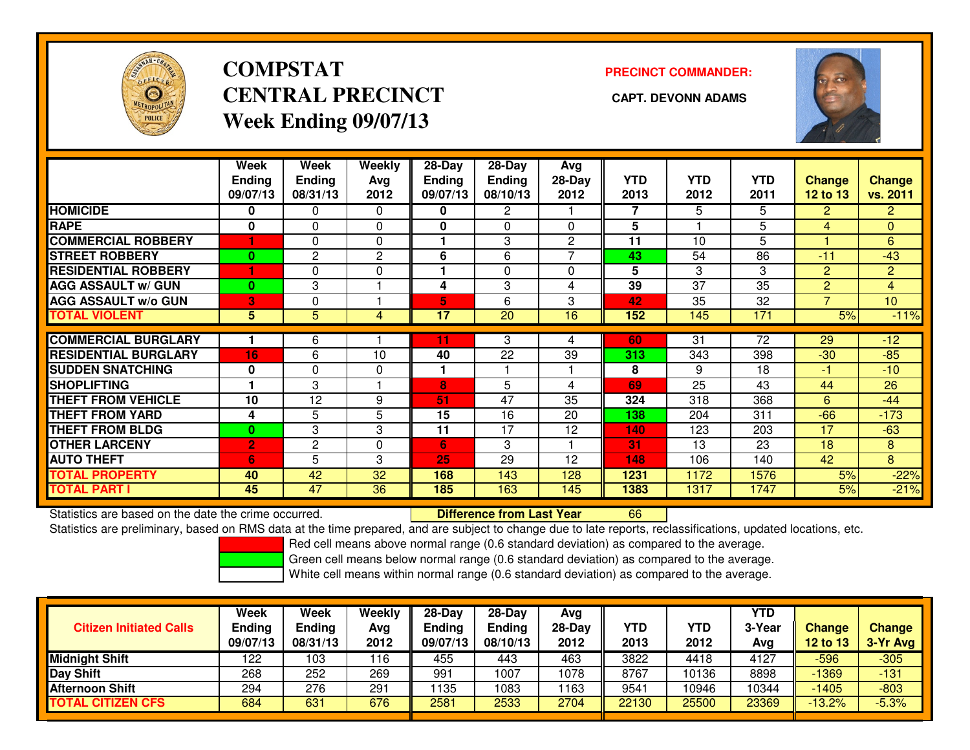

## **COMPSTATCENTRAL PRECINCT CAPT. DEVONN ADAMSWeek Ending 09/07/13**

### **PRECINCT COMMANDER:**



|                             | Week           | Week          | <b>Weekly</b> | $28-Day$      | $28-Day$        | Avg            |            |            |                 |                |                 |
|-----------------------------|----------------|---------------|---------------|---------------|-----------------|----------------|------------|------------|-----------------|----------------|-----------------|
|                             | <b>Ending</b>  | <b>Ending</b> | Ava           | <b>Ending</b> | <b>Ending</b>   | 28-Day         | <b>YTD</b> | <b>YTD</b> | YTD             | <b>Change</b>  | <b>Change</b>   |
|                             | 09/07/13       | 08/31/13      | 2012          | 09/07/13      | 08/10/13        | 2012           | 2013       | 2012       | 2011            | $12$ to $13$   | vs. 2011        |
| <b>HOMICIDE</b>             | 0              | 0             | $\Omega$      | 0             | $\mathbf{2}$    |                | 7          | 5          | 5               | $\overline{2}$ | $\overline{2}$  |
| <b>RAPE</b>                 | 0              | $\Omega$      | $\Omega$      | 0             | $\Omega$        | $\Omega$       | 5          |            | 5               | 4              | $\overline{0}$  |
| <b>COMMERCIAL ROBBERY</b>   | 1              | $\Omega$      | $\Omega$      |               | 3               | $\overline{c}$ | 11         | 10         | 5               |                | 6               |
| <b>STREET ROBBERY</b>       | $\bf{0}$       | 2             | $\mathbf{2}$  | 6             | 6               |                | 43         | 54         | 86              | $-11$          | $-43$           |
| <b>RESIDENTIAL ROBBERY</b>  | 1              | $\Omega$      | 0             |               | $\Omega$        | $\Omega$       | 5          | 3          | 3               | 2              | $\overline{2}$  |
| <b>AGG ASSAULT w/ GUN</b>   | $\bf{0}$       | 3             |               | 4             | 3               | 4              | 39         | 37         | $\overline{35}$ | 2              | $\overline{4}$  |
| <b>AGG ASSAULT w/o GUN</b>  | 3              | 0             |               | 5             | 6               | 3              | 42         | 35         | 32              | $\overline{7}$ | 10 <sup>°</sup> |
| <b>TOTAL VIOLENT</b>        | 5              | 5             | 4             | 17            | $\overline{20}$ | 16             | 152        | 145        | 171             | 5%             | $-11%$          |
| <b>COMMERCIAL BURGLARY</b>  |                | 6             |               | 11            | 3               | 4              | 60         | 31         | 72              | 29             | $-12$           |
| <b>RESIDENTIAL BURGLARY</b> | 16             | 6             | 10            | 40            | 22              | 39             | 313        | 343        | 398             | $-30$          | $-85$           |
| <b>ISUDDEN SNATCHING</b>    | 0              | $\Omega$      | 0             |               |                 |                | 8          | 9          | 18              | $-1$           | $-10$           |
|                             |                |               |               |               |                 |                |            |            |                 |                |                 |
| <b>SHOPLIFTING</b>          |                | 3             |               | 8             | 5               | 4              | 69         | 25         | 43              | 44             | 26              |
| <b>THEFT FROM VEHICLE</b>   | 10             | 12            | 9             | 51            | 47              | 35             | 324        | 318        | 368             | 6              | $-44$           |
| <b>THEFT FROM YARD</b>      | 4              | 5             | 5             | 15            | 16              | 20             | 138        | 204        | 311             | $-66$          | $-173$          |
| <b>THEFT FROM BLDG</b>      | $\bf{0}$       | 3             | 3             | 11            | 17              | 12             | 140        | 123        | 203             | 17             | $-63$           |
| <b>OTHER LARCENY</b>        | $\overline{2}$ | 2             | 0             | 6             | 3               |                | 31         | 13         | 23              | 18             | 8               |
| <b>AUTO THEFT</b>           | 6              | 5             | 3             | 25            | 29              | 12             | 148        | 106        | 140             | 42             | 8               |
| <b>TOTAL PROPERTY</b>       | 40             | 42            | 32            | 168           | 143             | 128            | 1231       | 1172       | 1576            | 5%             | $-22%$          |
| <b>TOTAL PART I</b>         | 45             | 47            | 36            | 185           | 163             | 145            | 1383       | 1317       | 1747            | 5%             | $-21%$          |

Statistics are based on the date the crime occurred. **Difference from Last Year** 

Statistics are preliminary, based on RMS data at the time prepared, and are subject to change due to late reports, reclassifications, updated locations, etc.

Red cell means above normal range (0.6 standard deviation) as compared to the average.

Green cell means below normal range (0.6 standard deviation) as compared to the average.

<sup>66</sup>

| <b>Citizen Initiated Calls</b> | Week<br>Ending<br>09/07/13 | Week<br>Ending<br>08/31/13 | <b>Weekly</b><br>Avg<br>2012 | $28-Day$<br><b>Ending</b><br>09/07/13 | $28 - Day$<br><b>Ending</b><br>08/10/13 | Avg<br>28-Day<br>2012 | YTD<br>2013 | YTD<br>2012 | <b>YTD</b><br>3-Year<br>Avg | Change<br>$12$ to $13$ | <b>Change</b><br>3-Yr Avg |
|--------------------------------|----------------------------|----------------------------|------------------------------|---------------------------------------|-----------------------------------------|-----------------------|-------------|-------------|-----------------------------|------------------------|---------------------------|
| Midnight Shift                 | 122                        | 103                        | 16                           | 455                                   | 443                                     | 463                   | 3822        | 4418        | 4127                        | $-596$                 | $-305$                    |
| Day Shift                      | 268                        | 252                        | 269                          | 991                                   | 1007                                    | 1078                  | 8767        | 10136       | 8898                        | $-1369$                | $-131$                    |
| <b>Afternoon Shift</b>         | 294                        | 276                        | 291                          | 135                                   | 1083                                    | 1163                  | 9541        | 10946       | 10344                       | $-1405$                | $-803$                    |
| <b>TOTAL CITIZEN CFS</b>       | 684                        | 631                        | 676                          | 2581                                  | 2533                                    | 2704                  | 22130       | 25500       | 23369                       | $-13.2%$               | $-5.3%$                   |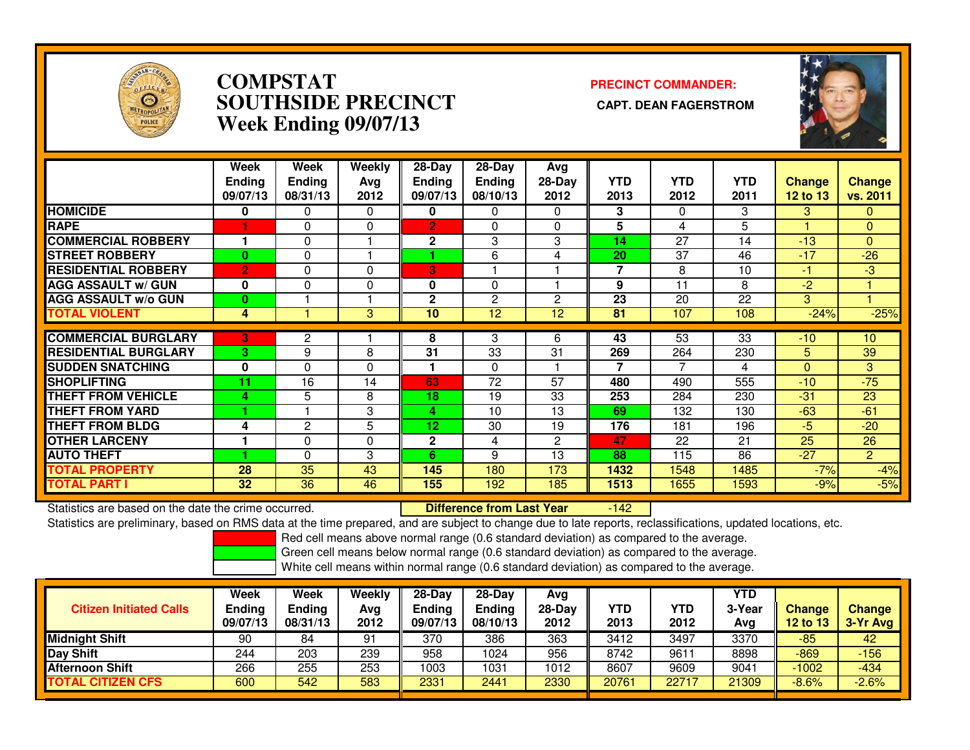

### **COMPSTAT PRECINCT COMMANDER: SOUTHSIDE PRECINCT CAPT. DEAN FAGERSTROMWeek Ending 09/07/13**



|                             | Week<br><b>Ending</b><br>09/07/13 | Week<br><b>Ending</b><br>08/31/13 | Weekly<br>Ava<br>2012 | $28-Day$<br>Ending<br>09/07/13 | $28-Day$<br><b>Ending</b><br>08/10/13 | Avg<br>$28-Day$<br>2012 | <b>YTD</b><br>2013 | <b>YTD</b><br>2012 | <b>YTD</b><br>2011 | <b>Change</b><br><b>12 to 13</b> | <b>Change</b><br>vs. 2011 |
|-----------------------------|-----------------------------------|-----------------------------------|-----------------------|--------------------------------|---------------------------------------|-------------------------|--------------------|--------------------|--------------------|----------------------------------|---------------------------|
| <b>HOMICIDE</b>             | 0                                 | 0                                 | $\Omega$              | 0                              | 0                                     | 0                       | 3                  | $\Omega$           | 3                  | 3                                | 0                         |
| <b>RAPE</b>                 |                                   | 0                                 | 0                     | $\overline{2}$                 | $\Omega$                              | 0                       | 5                  | 4                  | 5                  |                                  | $\mathbf{0}$              |
| <b>COMMERCIAL ROBBERY</b>   |                                   | 0                                 |                       | $\mathbf{2}$                   | 3                                     | 3                       | 14                 | 27                 | 14                 | $-13$                            | $\Omega$                  |
| <b>STREET ROBBERY</b>       | $\bf{0}$                          | 0                                 |                       |                                | 6                                     | 4                       | 20                 | 37                 | 46                 | $-17$                            | $-26$                     |
| <b>RESIDENTIAL ROBBERY</b>  | $\overline{2}$                    | 0                                 | 0                     | 3                              |                                       |                         | 7                  | 8                  | 10                 | $-1$                             | $-3$                      |
| <b>AGG ASSAULT w/ GUN</b>   | $\mathbf 0$                       | 0                                 | 0                     | 0                              | $\Omega$                              |                         | 9                  | 11                 | 8                  | -2                               |                           |
| <b>AGG ASSAULT w/o GUN</b>  | 0                                 |                                   |                       | $\mathbf{2}$                   | $\overline{2}$                        | 2                       | 23                 | 20                 | 22                 | 3                                |                           |
| <b>TOTAL VIOLENT</b>        | 4                                 |                                   | 3                     | 10                             | 12                                    | 12                      | 81                 | 107                | 108                | $-24%$                           | $-25%$                    |
|                             |                                   |                                   |                       |                                |                                       |                         |                    |                    |                    |                                  |                           |
| <b>COMMERCIAL BURGLARY</b>  | 3                                 | 2                                 |                       | 8                              | 3                                     | 6                       | 43                 | $\overline{53}$    | $\overline{33}$    | $-10$                            | 10                        |
| <b>RESIDENTIAL BURGLARY</b> | 3                                 | 9                                 | 8                     | 31                             | 33                                    | 31                      | 269                | 264                | 230                | 5                                | 39                        |
| <b>SUDDEN SNATCHING</b>     | $\mathbf 0$                       | $\Omega$                          | $\Omega$              |                                | $\Omega$                              |                         | 7                  | 7                  | 4                  | $\Omega$                         | 3                         |
| <b>SHOPLIFTING</b>          | 11                                | 16                                | 14                    | 63                             | 72                                    | 57                      | 480                | 490                | 555                | $-10$                            | $-75$                     |
| <b>THEFT FROM VEHICLE</b>   | 4                                 | 5                                 | 8                     | 18                             | 19                                    | 33                      | 253                | 284                | 230                | $-31$                            | 23                        |
| <b>THEFT FROM YARD</b>      |                                   |                                   | 3                     | 4                              | 10                                    | 13                      | 69                 | 132                | 130                | $-63$                            | $-61$                     |
| <b>THEFT FROM BLDG</b>      | 4                                 | $\overline{2}$                    | 5                     | 12                             | 30                                    | 19                      | 176                | 181                | 196                | $-5$                             | $-20$                     |
| <b>OTHER LARCENY</b>        |                                   | 0                                 | 0                     | $\mathbf{2}$                   | 4                                     | 2                       | 47                 | 22                 | 21                 | 25                               | 26                        |
| <b>AUTO THEFT</b>           |                                   | 0                                 | 3                     | 6                              | 9                                     | 13                      | 88                 | 115                | 86                 | $-27$                            | $\overline{2}$            |
| <b>TOTAL PROPERTY</b>       | 28                                | 35                                | 43                    | 145                            | 180                                   | 173                     | 1432               | 1548               | 1485               | $-7%$                            | $-4%$                     |
| <b>TOTAL PART I</b>         | 32                                | 36                                | 46                    | 155                            | 192                                   | 185                     | 1513               | 1655               | 1593               | $-9%$                            | $-5%$                     |

Statistics are based on the date the crime occurred. **Difference from Last Year**  $-142$ Statistics are preliminary, based on RMS data at the time prepared, and are subject to change due to late reports, reclassifications, updated locations, etc.

Red cell means above normal range (0.6 standard deviation) as compared to the average.

Green cell means below normal range (0.6 standard deviation) as compared to the average.

| <b>Citizen Initiated Calls</b> | <b>Week</b><br><b>Ending</b><br>09/07/13 | Week<br><b>Ending</b><br>08/31/13 | <b>Weekly</b><br>Avg<br>2012 | $28-Dav$<br><b>Ending</b><br>09/07/13 | $28-Dav$<br><b>Ending</b><br>08/10/13 | Avg<br>28-Dav<br>2012 | <b>YTD</b><br>2013 | YTD<br>2012 | <b>YTD</b><br>3-Year<br>Avg | <b>Change</b><br>12 to 13 | <b>Change</b><br>3-Yr Avg |
|--------------------------------|------------------------------------------|-----------------------------------|------------------------------|---------------------------------------|---------------------------------------|-----------------------|--------------------|-------------|-----------------------------|---------------------------|---------------------------|
| <b>Midnight Shift</b>          | 90                                       | 84                                | 91                           | 370                                   | 386                                   | 363                   | 3412               | 3497        | 3370                        | -85                       | 42                        |
| <b>Day Shift</b>               | 244                                      | 203                               | 239                          | 958                                   | 1024                                  | 956                   | 8742               | 9611        | 8898                        | -869                      | $-156$                    |
| <b>Afternoon Shift</b>         | 266                                      | 255                               | 253                          | 1003                                  | 1031                                  | 1012                  | 8607               | 9609        | 9041                        | $-1002$                   | $-434$                    |
| TOTAL CITIZEN CFS              | 600                                      | 542                               | 583                          | 2331                                  | 2441                                  | 2330                  | 20761              | 22717       | 21309                       | $-8.6%$                   | $-2.6%$                   |